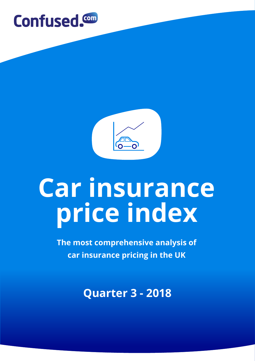



# **Car insurance price index**

**The most comprehensive analysis of car insurance pricing in the UK** 

**Quarter 3 - 2018**

**1**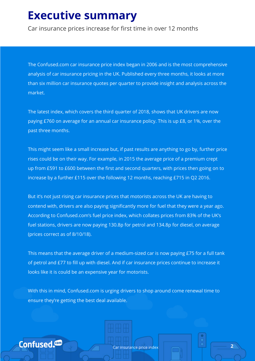#### **Executive summary**

Car insurance prices increase for first time in over 12 months

The Confused.com car insurance price index began in 2006 and is the most comprehensive analysis of car insurance pricing in the UK. Published every three months, it looks at more than six million car insurance quotes per quarter to provide insight and analysis across the market.

The latest index, which covers the third quarter of 2018, shows that UK drivers are now paying £760 on average for an annual car insurance policy. This is up £8, or 1%, over the past three months.

This might seem like a small increase but, if past results are anything to go by, further price rises could be on their way. For example, in 2015 the average price of a premium crept up from £591 to £600 between the first and second quarters, with prices then going on to increase by a further £115 over the following 12 months, reaching £715 in Q2 2016.

But it's not just rising car insurance prices that motorists across the UK are having to contend with, drivers are also paying significantly more for fuel that they were a year ago. According to Confused.com's fuel price index, which collates prices from 83% of the UK's fuel stations, drivers are now paying 130.8p for petrol and 134.8p for diesel, on average (prices correct as of 8/10/18).

This means that the average driver of a medium-sized car is now paying £75 for a full tank of petrol and £77 to fill up with diesel. And if car insurance prices continue to increase it looks like it is could be an expensive year for motorists.

With this in mind, Confused.com is urging drivers to shop around come renewal time to ensure they're getting the best deal available.

Confused.<sup>com</sup>

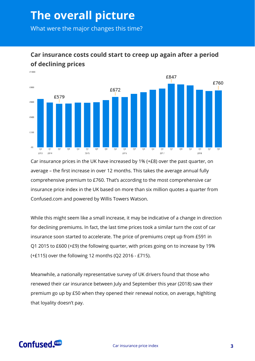## **The overall picture**

What were the major changes this time?



#### **Car insurance costs could start to creep up again after a period of declining prices**

Car insurance prices in the UK have increased by 1% (+£8) over the past quarter, on average – the first increase in over 12 months. This takes the average annual fully comprehensive premium to £760. That's according to the most comprehensive car insurance price index in the UK based on more than six million quotes a quarter from Confused.com and powered by Willis Towers Watson.

While this might seem like a small increase, it may be indicative of a change in direction for declining premiums. In fact, the last time prices took a similar turn the cost of car insurance soon started to accelerate. The price of premiums crept up from £591 in Q1 2015 to £600 (+£9) the following quarter, with prices going on to increase by 19% (+£115) over the following 12 months (Q2 2016 - £715).

Meanwhile, a nationally representative survey of UK drivers found that those who renewed their car insurance between July and September this year (2018) saw their premium go up by £50 when they opened their renewal notice, on average, highlting that loyality doesn't pay.

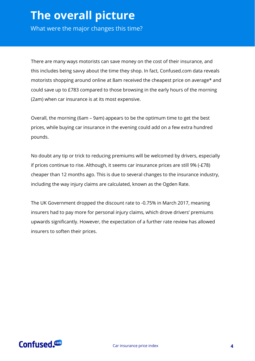### **The overall picture**

What were the major changes this time?

There are many ways motorists can save money on the cost of their insurance, and this includes being savvy about the time they shop. In fact, Confused.com data reveals motorists shopping around online at 8am received the cheapest price on average\* and could save up to £783 compared to those browsing in the early hours of the morning (2am) when car insurance is at its most expensive.

Overall, the morning (6am – 9am) appears to be the optimum time to get the best prices, while buying car insurance in the evening could add on a few extra hundred pounds.

No doubt any tip or trick to reducing premiums will be welcomed by drivers, especially if prices continue to rise. Although, it seems car insurance prices are still 9% (-£78) cheaper than 12 months ago. This is due to several changes to the insurance industry, including the way injury claims are calculated, known as the Ogden Rate.

The UK Government dropped the discount rate to -0.75% in March 2017, meaning insurers had to pay more for personal injury claims, which drove drivers' premiums upwards significantly. However, the expectation of a further rate review has allowed insurers to soften their prices.

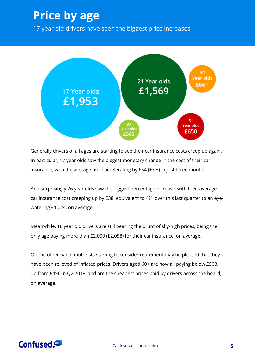### **Price by age**

17 year old drivers have seen the biggest price increases



Generally drivers of all ages are starting to see their car insurance costs creep up again. In particular, 17 year olds saw the biggest monetary change in the cost of their car insurance, with the average price accelerating by £64 (+3%) in just three months.

And surprisingly 26 year olds saw the biggest percentage increase, with their average car insurance cost creeping up by £38, equivalent to 4%, over this last quarter to an eyewatering £1,024, on average.

Meanwhile, 18 year old drivers are still bearing the brunt of sky-high prices, being the only age paying more than £2,000 (£2,058) for their car insurance, on average.

On the other hand, motorists starting to consider retirement may be pleased that they have been relieved of inflated prices. Drivers aged 60+ are now all paying below £503, up from £496 in Q2 2018, and are the cheapest prices paid by drivers across the board, on average.

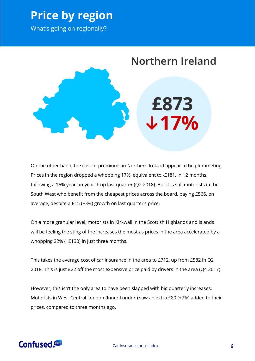#### **Price by region**

What's going on regionally?



On the other hand, the cost of premiums in Northern Ireland appear to be plummeting. Prices in the region dropped a whopping 17%, equivalent to -£181, in 12 months, following a 16% year-on-year drop last quarter (Q2 2018). But it is still motorists in the South West who benefit from the cheapest prices across the board, paying £566, on average, despite a £15 (+3%) growth on last quarter's price.

On a more granular level, motorists in Kirkwall in the Scottish Highlands and Islands will be feeling the sting of the increases the most as prices in the area accelerated by a whopping 22% (+£130) in just three months.

This takes the average cost of car insurance in the area to £712, up from £582 in Q2 2018. This is just £22 off the most expensive price paid by drivers in the area (Q4 2017).

However, this isn't the only area to have been slapped with big quarterly increases. Motorists in West Central London (Inner London) saw an extra £80 (+7%) added to their prices, compared to three months ago.

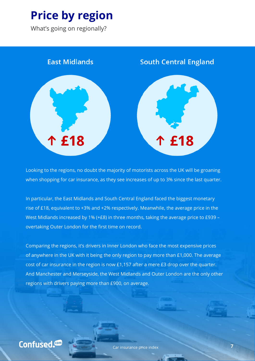# **Price by region**

What's going on regionally?



Looking to the regions, no doubt the majority of motorists across the UK will be groaning when shopping for car insurance, as they see increases of up to 3% since the last quarter.

In particular, the East Midlands and South Central England faced the biggest monetary rise of £18, equivalent to +3% and +2% respectively. Meanwhile, the average price in the West Midlands increased by 1% (+£8) in three months, taking the average price to £939 – overtaking Outer London for the first time on record.

Comparing the regions, it's drivers in Inner London who face the most expensive prices of anywhere in the UK with it being the only region to pay more than £1,000. The average cost of car insurance in the region is now £1,157 after a mere £3 drop over the quarter. And Manchester and Merseyside, the West Midlands and Outer London are the only other regions with drivers paying more than £900, on average.

Confused.<sup>com</sup>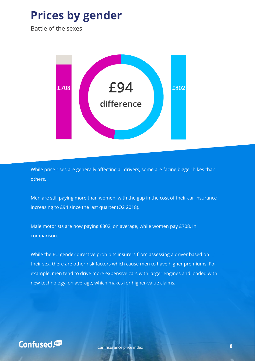### **Prices by gender**

Battle of the sexes



While price rises are generally affecting all drivers, some are facing bigger hikes than others.

Men are still paying more than women, with the gap in the cost of their car insurance increasing to £94 since the last quarter (Q2 2018).

Male motorists are now paying £802, on average, while women pay £708, in comparison.

While the EU gender directive prohibits insurers from assessing a driver based on their sex, there are other risk factors which cause men to have higher premiums. For example, men tend to drive more expensive cars with larger engines and loaded with new technology, on average, which makes for higher-value claims.

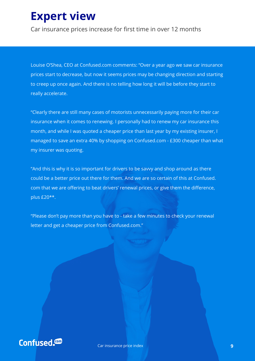### **Expert view**

Car insurance prices increase for first time in over 12 months

Louise O'Shea, CEO at Confused.com comments: "Over a year ago we saw car insurance prices start to decrease, but now it seems prices may be changing direction and starting to creep up once again. And there is no telling how long it will be before they start to really accelerate.

"Clearly there are still many cases of motorists unnecessarily paying more for their car insurance when it comes to renewing. I personally had to renew my car insurance this month, and while I was quoted a cheaper price than last year by my existing insurer, I managed to save an extra 40% by shopping on Confused.com - £300 cheaper than what my insurer was quoting.

"And this is why it is so important for drivers to be savvy and shop around as there could be a better price out there for them. And we are so certain of this at Confused. com that we are offering to beat drivers' renewal prices, or give them the difference, plus £20\*\*.

"Please don't pay more than you have to - take a few minutes to check your renewal letter and get a cheaper price from Confused.com."